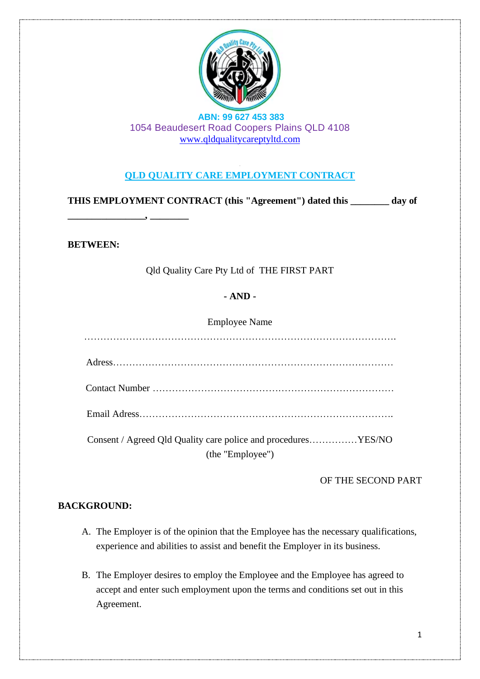

# **QLD QUALITY CARE EMPLOYMENT CONTRACT**

**THIS EMPLOYMENT CONTRACT (this "Agreement") dated this \_\_\_\_\_\_\_\_ day of** 

**BETWEEN:**

**\_\_\_\_\_\_\_\_\_\_\_\_\_\_\_\_, \_\_\_\_\_\_\_\_**

Qld Quality Care Pty Ltd of THE FIRST PART

### **- AND -**

Employee Name

……………………………………………………………………………………. Adress…………………………………………………………………………… Contact Number ………………………………………………………………… Email Adress……………………………………………………………………. Consent / Agreed Qld Quality care police and procedures……………YES/NO

(the "Employee")

#### OF THE SECOND PART

### **BACKGROUND:**

- A. The Employer is of the opinion that the Employee has the necessary qualifications, experience and abilities to assist and benefit the Employer in its business.
- B. The Employer desires to employ the Employee and the Employee has agreed to accept and enter such employment upon the terms and conditions set out in this Agreement.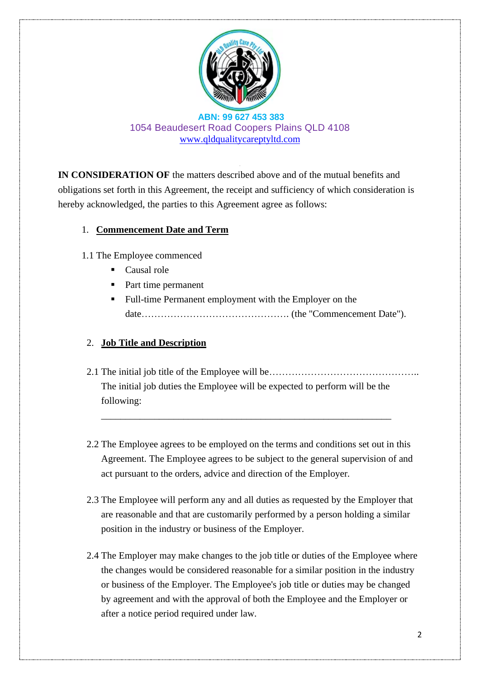

**IN CONSIDERATION OF** the matters described above and of the mutual benefits and obligations set forth in this Agreement, the receipt and sufficiency of which consideration is hereby acknowledged, the parties to this Agreement agree as follows:

### 1. **Commencement Date and Term**

- 1.1 The Employee commenced
	- Causal role
	- Part time permanent
	- Full-time Permanent employment with the Employer on the date………………………………………. (the "Commencement Date").

# 2. **Job Title and Description**

2.1 The initial job title of the Employee will be……………………………………….. The initial job duties the Employee will be expected to perform will be the following:

\_\_\_\_\_\_\_\_\_\_\_\_\_\_\_\_\_\_\_\_\_\_\_\_\_\_\_\_\_\_\_\_\_\_\_\_\_\_\_\_\_\_\_\_\_\_\_\_\_\_\_\_\_\_\_\_\_\_\_\_

- 2.2 The Employee agrees to be employed on the terms and conditions set out in this Agreement. The Employee agrees to be subject to the general supervision of and act pursuant to the orders, advice and direction of the Employer.
- 2.3 The Employee will perform any and all duties as requested by the Employer that are reasonable and that are customarily performed by a person holding a similar position in the industry or business of the Employer.
- 2.4 The Employer may make changes to the job title or duties of the Employee where the changes would be considered reasonable for a similar position in the industry or business of the Employer. The Employee's job title or duties may be changed by agreement and with the approval of both the Employee and the Employer or after a notice period required under law.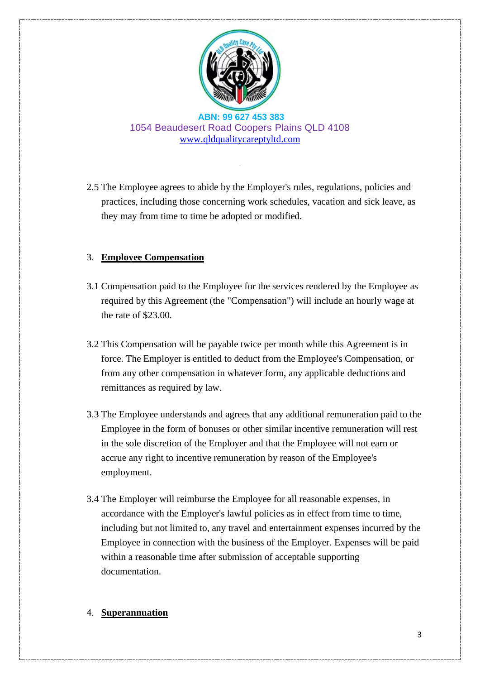

2.5 The Employee agrees to abide by the Employer's rules, regulations, policies and practices, including those concerning work schedules, vacation and sick leave, as they may from time to time be adopted or modified.

### 3. **Employee Compensation**

- 3.1 Compensation paid to the Employee for the services rendered by the Employee as required by this Agreement (the "Compensation") will include an hourly wage at the rate of \$23.00.
- 3.2 This Compensation will be payable twice per month while this Agreement is in force. The Employer is entitled to deduct from the Employee's Compensation, or from any other compensation in whatever form, any applicable deductions and remittances as required by law.
- 3.3 The Employee understands and agrees that any additional remuneration paid to the Employee in the form of bonuses or other similar incentive remuneration will rest in the sole discretion of the Employer and that the Employee will not earn or accrue any right to incentive remuneration by reason of the Employee's employment.
- 3.4 The Employer will reimburse the Employee for all reasonable expenses, in accordance with the Employer's lawful policies as in effect from time to time, including but not limited to, any travel and entertainment expenses incurred by the Employee in connection with the business of the Employer. Expenses will be paid within a reasonable time after submission of acceptable supporting documentation.

### 4. **Superannuation**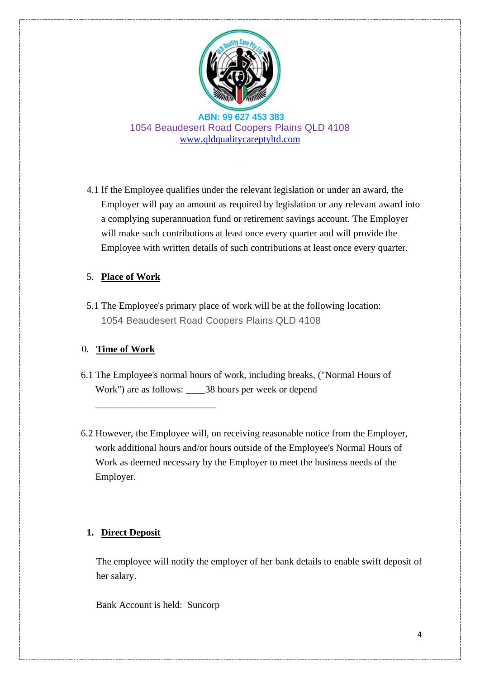

4.1 If the Employee qualifies under the relevant legislation or under an award, the Employer will pay an amount as required by legislation or any relevant award into a complying superannuation fund or retirement savings account. The Employer will make such contributions at least once every quarter and will provide the Employee with written details of such contributions at least once every quarter.

### 5. **Place of Work**

5.1 The Employee's primary place of work will be at the following location: 1054 Beaudesert Road Coopers Plains QLD 4108

### 0. **Time of Work**

- 6.1 The Employee's normal hours of work, including breaks, ("Normal Hours of Work") are as follows: \_\_\_\_38 hours per week or depend
- 6.2 However, the Employee will, on receiving reasonable notice from the Employer, work additional hours and/or hours outside of the Employee's Normal Hours of Work as deemed necessary by the Employer to meet the business needs of the Employer.

### **1. Direct Deposit**

The employee will notify the employer of her bank details to enable swift deposit of her salary.

Bank Account is held: Suncorp

\_\_\_\_\_\_\_\_\_\_\_\_\_\_\_\_\_\_\_\_\_\_\_\_\_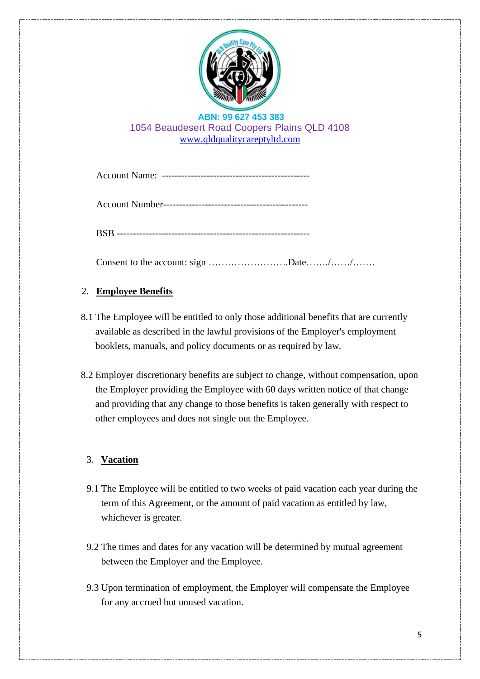

Consent to the account: sign …………………….Date……./……/…….

# 2. **Employee Benefits**

- 8.1 The Employee will be entitled to only those additional benefits that are currently available as described in the lawful provisions of the Employer's employment booklets, manuals, and policy documents or as required by law.
- 8.2 Employer discretionary benefits are subject to change, without compensation, upon the Employer providing the Employee with 60 days written notice of that change and providing that any change to those benefits is taken generally with respect to other employees and does not single out the Employee.

# 3. **Vacation**

- 9.1 The Employee will be entitled to two weeks of paid vacation each year during the term of this Agreement, or the amount of paid vacation as entitled by law, whichever is greater.
- 9.2 The times and dates for any vacation will be determined by mutual agreement between the Employer and the Employee.
- 9.3 Upon termination of employment, the Employer will compensate the Employee for any accrued but unused vacation.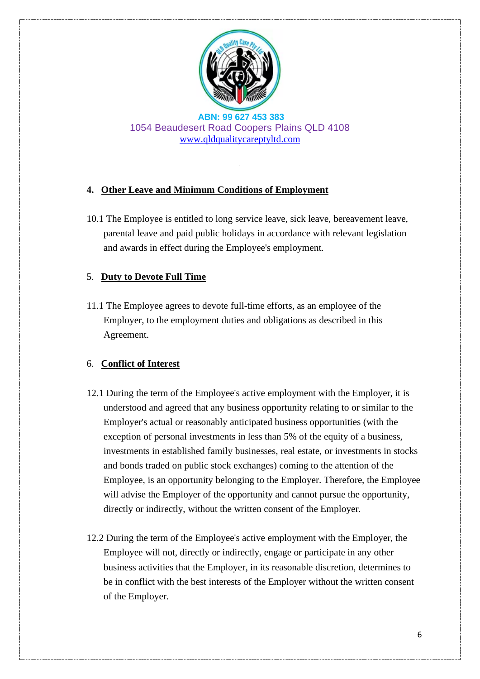

### **4. Other Leave and Minimum Conditions of Employment**

10.1 The Employee is entitled to long service leave, sick leave, bereavement leave, parental leave and paid public holidays in accordance with relevant legislation and awards in effect during the Employee's employment.

### 5. **Duty to Devote Full Time**

11.1 The Employee agrees to devote full-time efforts, as an employee of the Employer, to the employment duties and obligations as described in this Agreement.

# 6. **Conflict of Interest**

- 12.1 During the term of the Employee's active employment with the Employer, it is understood and agreed that any business opportunity relating to or similar to the Employer's actual or reasonably anticipated business opportunities (with the exception of personal investments in less than 5% of the equity of a business, investments in established family businesses, real estate, or investments in stocks and bonds traded on public stock exchanges) coming to the attention of the Employee, is an opportunity belonging to the Employer. Therefore, the Employee will advise the Employer of the opportunity and cannot pursue the opportunity, directly or indirectly, without the written consent of the Employer.
- 12.2 During the term of the Employee's active employment with the Employer, the Employee will not, directly or indirectly, engage or participate in any other business activities that the Employer, in its reasonable discretion, determines to be in conflict with the best interests of the Employer without the written consent of the Employer.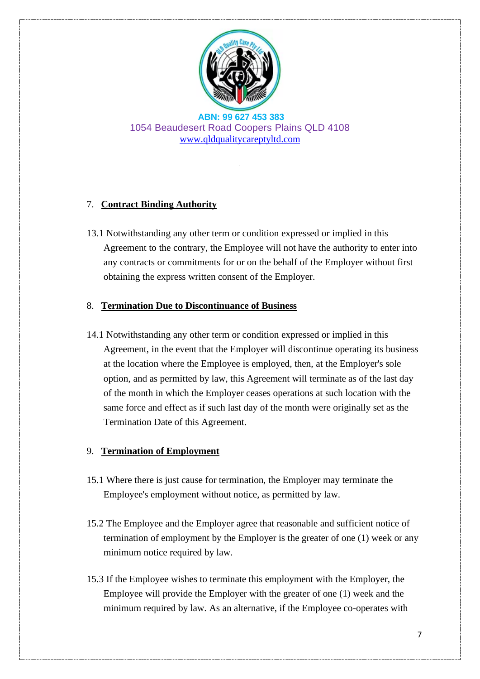

# 7. **Contract Binding Authority**

13.1 Notwithstanding any other term or condition expressed or implied in this Agreement to the contrary, the Employee will not have the authority to enter into any contracts or commitments for or on the behalf of the Employer without first obtaining the express written consent of the Employer.

### 8. **Termination Due to Discontinuance of Business**

14.1 Notwithstanding any other term or condition expressed or implied in this Agreement, in the event that the Employer will discontinue operating its business at the location where the Employee is employed, then, at the Employer's sole option, and as permitted by law, this Agreement will terminate as of the last day of the month in which the Employer ceases operations at such location with the same force and effect as if such last day of the month were originally set as the Termination Date of this Agreement.

### 9. **Termination of Employment**

- 15.1 Where there is just cause for termination, the Employer may terminate the Employee's employment without notice, as permitted by law.
- 15.2 The Employee and the Employer agree that reasonable and sufficient notice of termination of employment by the Employer is the greater of one (1) week or any minimum notice required by law.
- 15.3 If the Employee wishes to terminate this employment with the Employer, the Employee will provide the Employer with the greater of one (1) week and the minimum required by law. As an alternative, if the Employee co-operates with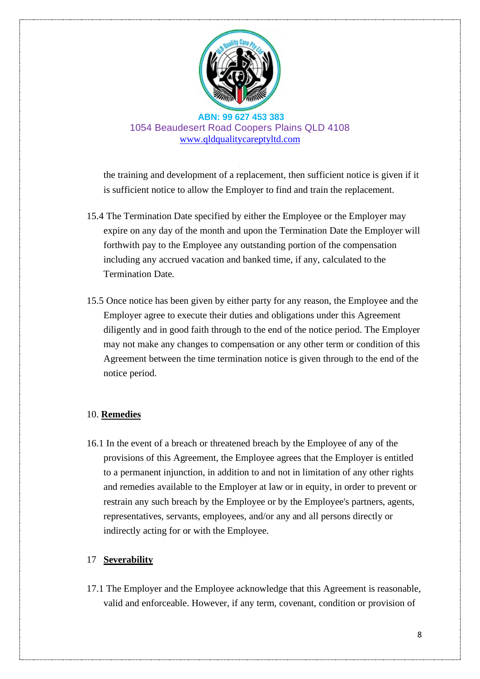

the training and development of a replacement, then sufficient notice is given if it is sufficient notice to allow the Employer to find and train the replacement.

- 15.4 The Termination Date specified by either the Employee or the Employer may expire on any day of the month and upon the Termination Date the Employer will forthwith pay to the Employee any outstanding portion of the compensation including any accrued vacation and banked time, if any, calculated to the Termination Date.
- 15.5 Once notice has been given by either party for any reason, the Employee and the Employer agree to execute their duties and obligations under this Agreement diligently and in good faith through to the end of the notice period. The Employer may not make any changes to compensation or any other term or condition of this Agreement between the time termination notice is given through to the end of the notice period.

#### 10. **Remedies**

16.1 In the event of a breach or threatened breach by the Employee of any of the provisions of this Agreement, the Employee agrees that the Employer is entitled to a permanent injunction, in addition to and not in limitation of any other rights and remedies available to the Employer at law or in equity, in order to prevent or restrain any such breach by the Employee or by the Employee's partners, agents, representatives, servants, employees, and/or any and all persons directly or indirectly acting for or with the Employee.

### 17 **Severability**

17.1 The Employer and the Employee acknowledge that this Agreement is reasonable, valid and enforceable. However, if any term, covenant, condition or provision of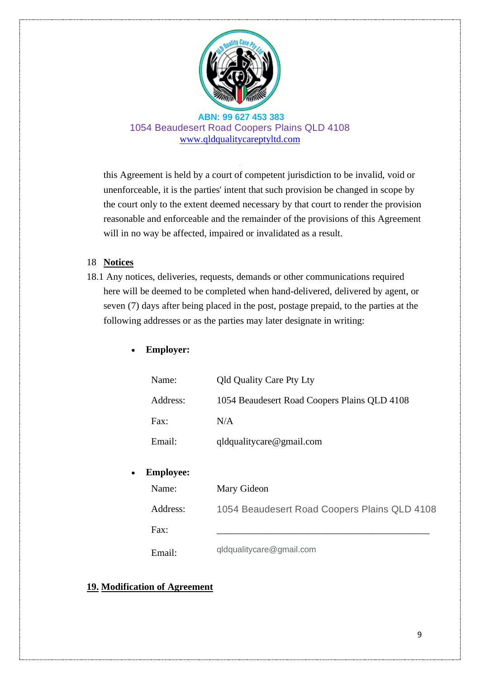

this Agreement is held by a court of competent jurisdiction to be invalid, void or unenforceable, it is the parties' intent that such provision be changed in scope by the court only to the extent deemed necessary by that court to render the provision reasonable and enforceable and the remainder of the provisions of this Agreement will in no way be affected, impaired or invalidated as a result.

#### 18 **Notices**

18.1 Any notices, deliveries, requests, demands or other communications required here will be deemed to be completed when hand-delivered, delivered by agent, or seven (7) days after being placed in the post, postage prepaid, to the parties at the following addresses or as the parties may later designate in writing:

### • **Employer:**

| Name:            | <b>Qld Quality Care Pty Lty</b>              |  |  |  |  |  |  |
|------------------|----------------------------------------------|--|--|--|--|--|--|
| Address:         | 1054 Beaudesert Road Coopers Plains QLD 4108 |  |  |  |  |  |  |
| Fax:             | N/A                                          |  |  |  |  |  |  |
| Email:           | $q$ ldqualitycare@gmail.com                  |  |  |  |  |  |  |
| <b>Employee:</b> |                                              |  |  |  |  |  |  |
| Name:            | Mary Gideon                                  |  |  |  |  |  |  |
|                  |                                              |  |  |  |  |  |  |

| Address: | 1054 Beaudesert Road Coopers Plains QLD 4108 |  |  |  |
|----------|----------------------------------------------|--|--|--|
|          |                                              |  |  |  |

Fax: \_\_\_\_\_\_\_\_\_\_\_\_\_\_\_\_\_\_\_\_\_\_\_\_\_\_\_\_\_\_\_\_\_\_\_\_\_\_\_\_\_\_\_\_

Email: qldqualitycare@gmail.com

#### **19. Modification of Agreement**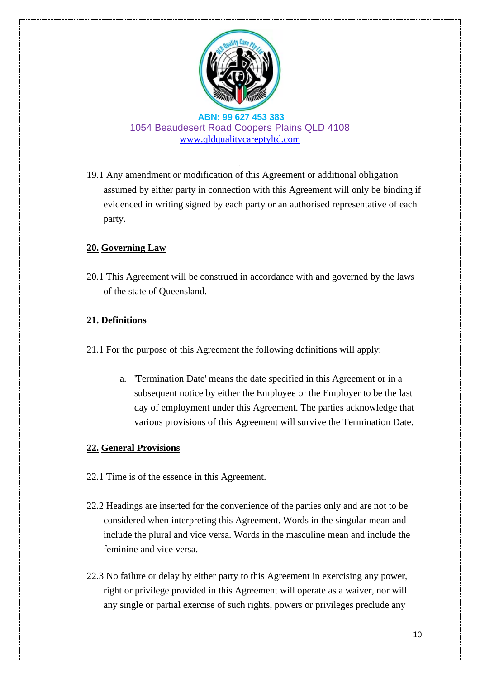

19.1 Any amendment or modification of this Agreement or additional obligation assumed by either party in connection with this Agreement will only be binding if evidenced in writing signed by each party or an authorised representative of each party.

# **20. Governing Law**

20.1 This Agreement will be construed in accordance with and governed by the laws of the state of Queensland.

# **21. Definitions**

- 21.1 For the purpose of this Agreement the following definitions will apply:
	- a. 'Termination Date' means the date specified in this Agreement or in a subsequent notice by either the Employee or the Employer to be the last day of employment under this Agreement. The parties acknowledge that various provisions of this Agreement will survive the Termination Date.

### **22. General Provisions**

- 22.1 Time is of the essence in this Agreement.
- 22.2 Headings are inserted for the convenience of the parties only and are not to be considered when interpreting this Agreement. Words in the singular mean and include the plural and vice versa. Words in the masculine mean and include the feminine and vice versa.
- 22.3 No failure or delay by either party to this Agreement in exercising any power, right or privilege provided in this Agreement will operate as a waiver, nor will any single or partial exercise of such rights, powers or privileges preclude any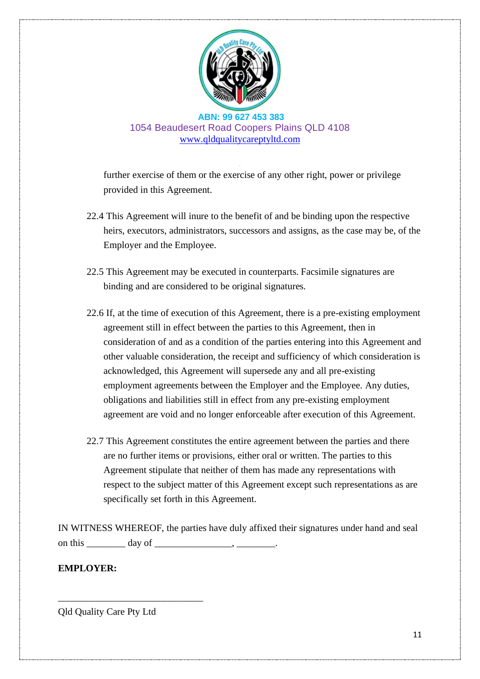

further exercise of them or the exercise of any other right, power or privilege provided in this Agreement.

- 22.4 This Agreement will inure to the benefit of and be binding upon the respective heirs, executors, administrators, successors and assigns, as the case may be, of the Employer and the Employee.
- 22.5 This Agreement may be executed in counterparts. Facsimile signatures are binding and are considered to be original signatures.
- 22.6 If, at the time of execution of this Agreement, there is a pre-existing employment agreement still in effect between the parties to this Agreement, then in consideration of and as a condition of the parties entering into this Agreement and other valuable consideration, the receipt and sufficiency of which consideration is acknowledged, this Agreement will supersede any and all pre-existing employment agreements between the Employer and the Employee. Any duties, obligations and liabilities still in effect from any pre-existing employment agreement are void and no longer enforceable after execution of this Agreement.
- 22.7 This Agreement constitutes the entire agreement between the parties and there are no further items or provisions, either oral or written. The parties to this Agreement stipulate that neither of them has made any representations with respect to the subject matter of this Agreement except such representations as are specifically set forth in this Agreement.

IN WITNESS WHEREOF, the parties have duly affixed their signatures under hand and seal on this  $\frac{1}{\sqrt{2\pi}} \frac{1}{\sqrt{2\pi}} \frac{1}{\sqrt{2\pi}}$ 

### **EMPLOYER:**

Qld Quality Care Pty Ltd

\_\_\_\_\_\_\_\_\_\_\_\_\_\_\_\_\_\_\_\_\_\_\_\_\_\_\_\_\_\_